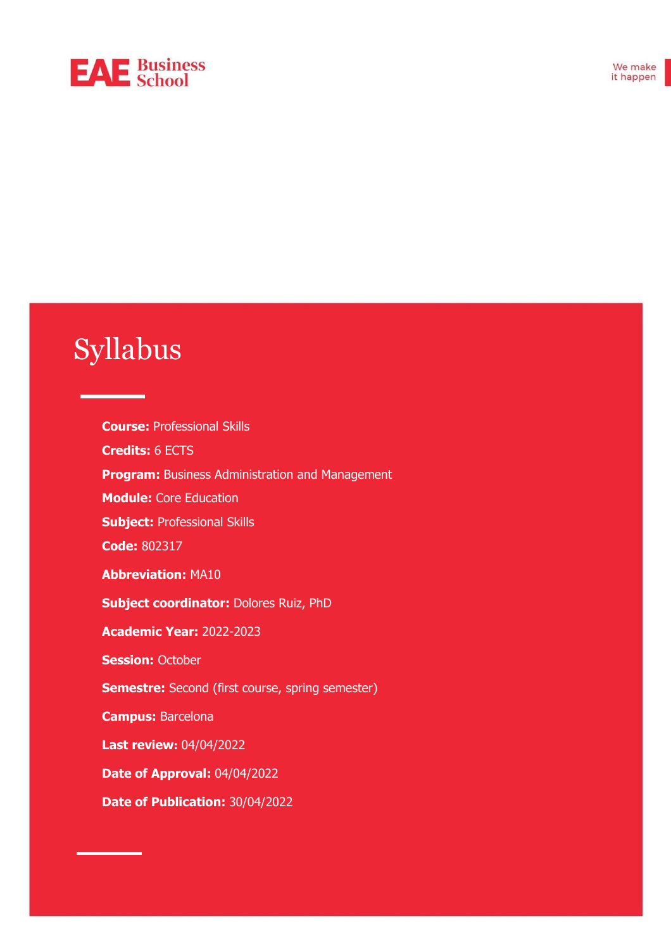# **EAE** Business

# Syllabus

**Course:** Professional Skills **Credits:** 6 ECTS **Program:** Business Administration and Management **Module:** Core Education **Subject:** Professional Skills **Code:** 802317 **Abbreviation:** MA10 **Subject coordinator:** Dolores Ruiz, PhD **Academic Year:** 2022-2023 **Session: October Semestre:** Second (first course, spring semester) **Campus:** Barcelona **Last review:** 04/04/2022 **Date of Approval:** 04/04/2022 **Date of Publication:** 30/04/2022

171015320\_101, 171015320\_102 ♣ Abbreviation: DCI ♣ Professor in charge: Josep María Galí ♣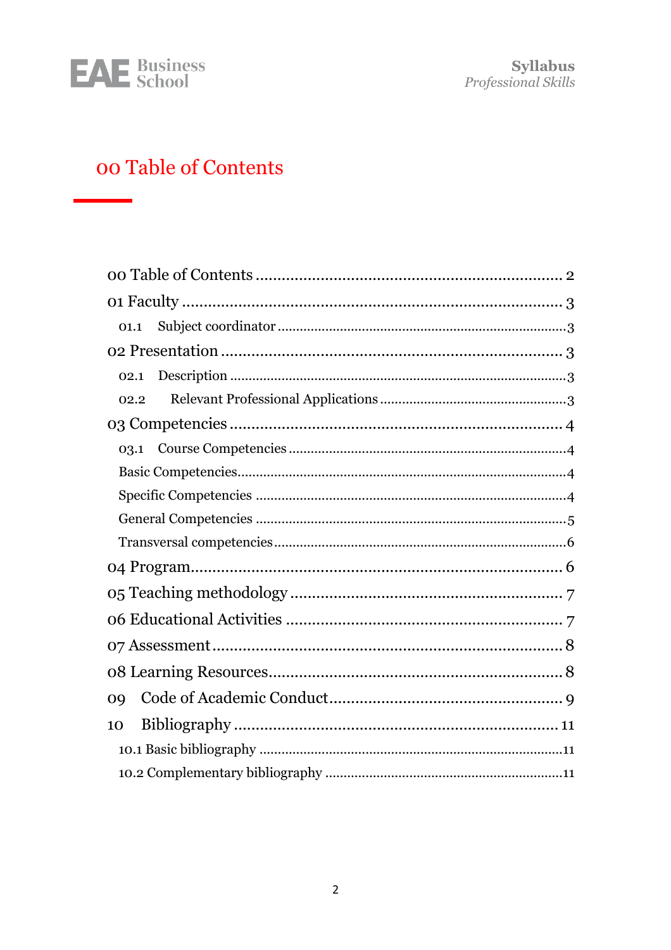

**Syllabus**<br>*Professional Skills* 

# <span id="page-1-0"></span>oo Table of Contents

| 01.1           |
|----------------|
|                |
| 02.1           |
| 02.2           |
|                |
|                |
|                |
|                |
|                |
|                |
|                |
|                |
|                |
|                |
|                |
| O <sub>9</sub> |
| 10             |
|                |
|                |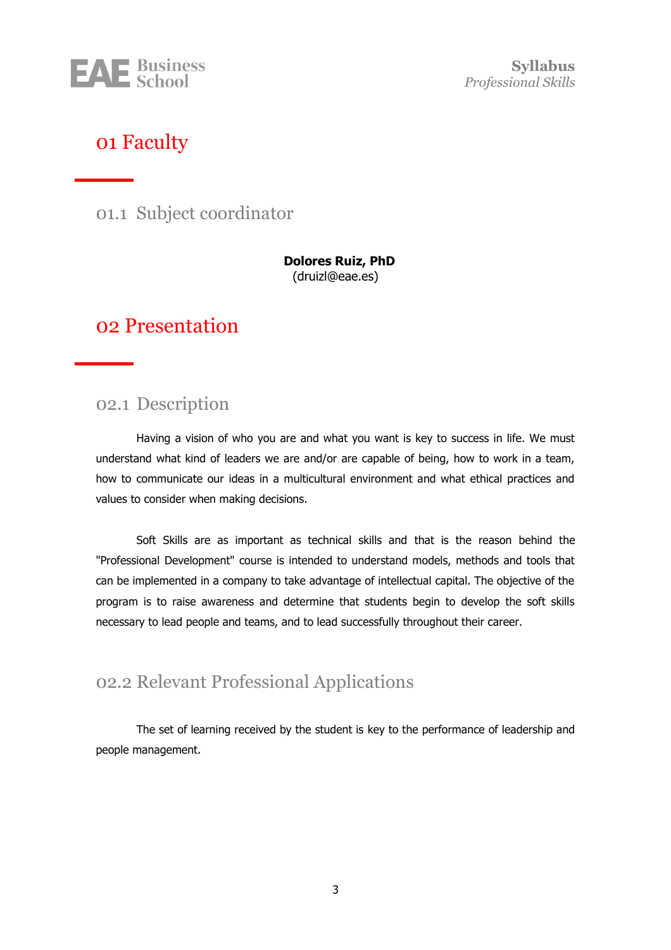

**Syllabus** *Professional Skills*

### <span id="page-2-0"></span>01 Faculty

<span id="page-2-1"></span>01.1 Subject coordinator

**Dolores Ruiz, PhD** (druizl@eae.es)

## <span id="page-2-2"></span>02 Presentation

#### <span id="page-2-3"></span>02.1 Description

Having a vision of who you are and what you want is key to success in life. We must understand what kind of leaders we are and/or are capable of being, how to work in a team, how to communicate our ideas in a multicultural environment and what ethical practices and values to consider when making decisions.

Soft Skills are as important as technical skills and that is the reason behind the "Professional Development" course is intended to understand models, methods and tools that can be implemented in a company to take advantage of intellectual capital. The objective of the program is to raise awareness and determine that students begin to develop the soft skills necessary to lead people and teams, and to lead successfully throughout their career.

#### <span id="page-2-4"></span>02.2 Relevant Professional Applications

The set of learning received by the student is key to the performance of leadership and people management.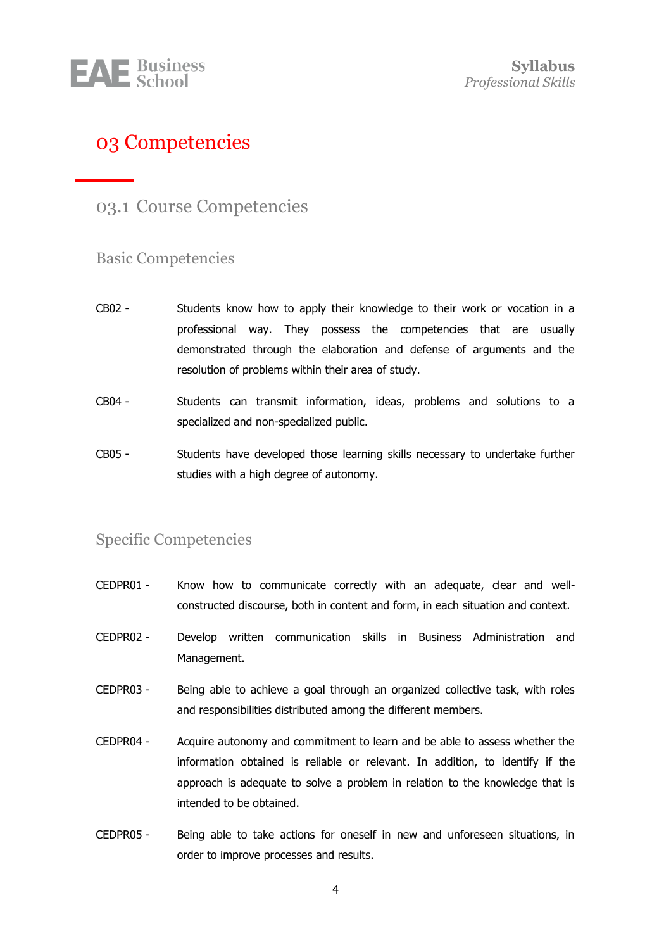

# <span id="page-3-0"></span>03 Competencies

#### <span id="page-3-1"></span>03.1 Course Competencies

#### <span id="page-3-2"></span>Basic Competencies

- CB02 Students know how to apply their knowledge to their work or vocation in a professional way. They possess the competencies that are usually demonstrated through the elaboration and defense of arguments and the resolution of problems within their area of study.
- CB04 Students can transmit information, ideas, problems and solutions to a specialized and non-specialized public.
- CB05 Students have developed those learning skills necessary to undertake further studies with a high degree of autonomy.

#### <span id="page-3-3"></span>Specific Competencies

- CEDPR01 Know how to communicate correctly with an adequate, clear and wellconstructed discourse, both in content and form, in each situation and context.
- CEDPR02 Develop written communication skills in Business Administration and Management.
- CEDPR03 Being able to achieve a goal through an organized collective task, with roles and responsibilities distributed among the different members.
- CEDPR04 Acquire autonomy and commitment to learn and be able to assess whether the information obtained is reliable or relevant. In addition, to identify if the approach is adequate to solve a problem in relation to the knowledge that is intended to be obtained.
- CEDPR05 Being able to take actions for oneself in new and unforeseen situations, in order to improve processes and results.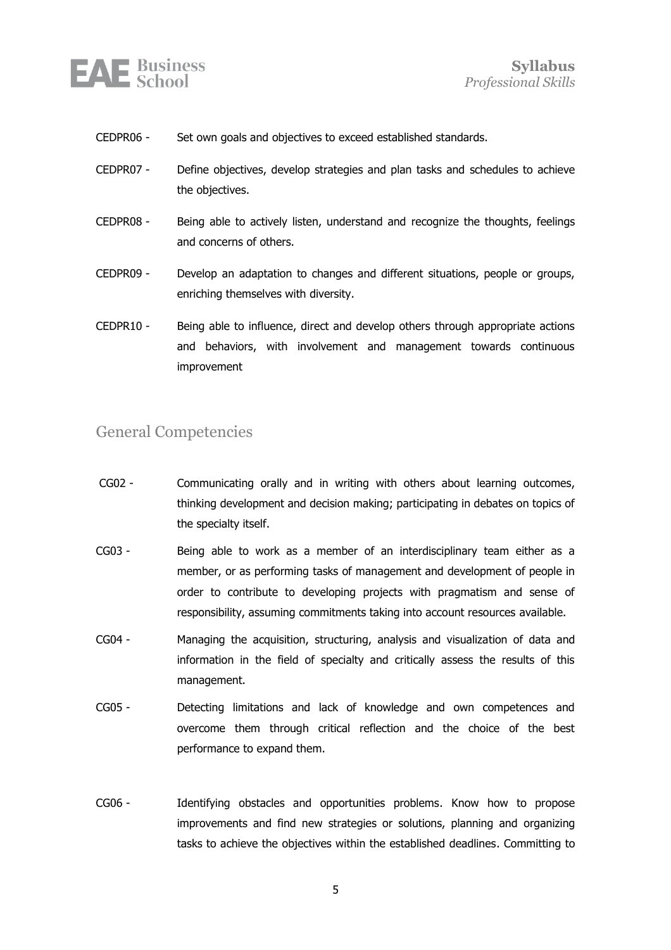

- CEDPR06 Set own goals and objectives to exceed established standards.
- CEDPR07 Define objectives, develop strategies and plan tasks and schedules to achieve the objectives.
- CEDPR08 Being able to actively listen, understand and recognize the thoughts, feelings and concerns of others.
- CEDPR09 Develop an adaptation to changes and different situations, people or groups, enriching themselves with diversity.
- CEDPR10 Being able to influence, direct and develop others through appropriate actions and behaviors, with involvement and management towards continuous improvement

#### <span id="page-4-0"></span>General Competencies

- CG02 Communicating orally and in writing with others about learning outcomes, thinking development and decision making; participating in debates on topics of the specialty itself.
- CG03 Being able to work as a member of an interdisciplinary team either as a member, or as performing tasks of management and development of people in order to contribute to developing projects with pragmatism and sense of responsibility, assuming commitments taking into account resources available.
- CG04 Managing the acquisition, structuring, analysis and visualization of data and information in the field of specialty and critically assess the results of this management.
- CG05 Detecting limitations and lack of knowledge and own competences and overcome them through critical reflection and the choice of the best performance to expand them.
- CG06 Identifying obstacles and opportunities problems. Know how to propose improvements and find new strategies or solutions, planning and organizing tasks to achieve the objectives within the established deadlines. Committing to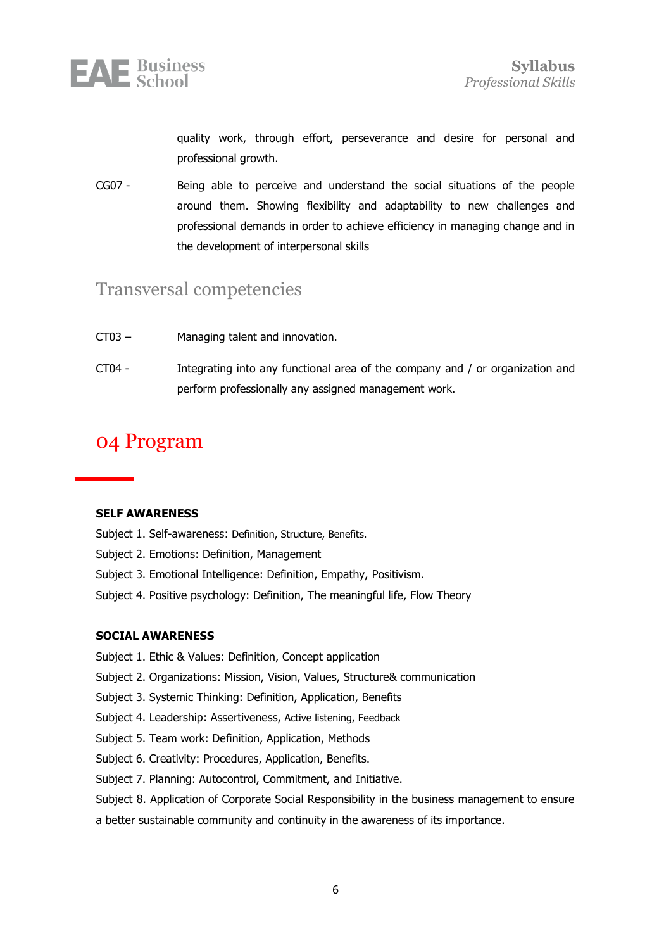

quality work, through effort, perseverance and desire for personal and professional growth.

CG07 - Being able to perceive and understand the social situations of the people around them. Showing flexibility and adaptability to new challenges and professional demands in order to achieve efficiency in managing change and in the development of interpersonal skills

#### <span id="page-5-0"></span>Transversal competencies

- CT03 Managing talent and innovation.
- CT04 Integrating into any functional area of the company and / or organization and perform professionally any assigned management work.

## <span id="page-5-1"></span>04 Program

#### **SELF AWARENESS**

- Subject 1. Self-awareness: Definition, Structure, Benefits.
- Subject 2. Emotions: Definition, Management
- Subject 3. Emotional Intelligence: Definition, Empathy, Positivism.
- Subject 4. Positive psychology: Definition, The meaningful life, Flow Theory

#### **SOCIAL AWARENESS**

- Subject 1. Ethic & Values: Definition, Concept application
- Subject 2. Organizations: Mission, Vision, Values, Structure& communication
- Subject 3. Systemic Thinking: Definition, Application, Benefits
- Subject 4. Leadership: Assertiveness, Active listening, Feedback
- Subject 5. Team work: Definition, Application, Methods
- Subject 6. Creativity: Procedures, Application, Benefits.
- Subject 7. Planning: Autocontrol, Commitment, and Initiative.
- Subject 8. Application of Corporate Social Responsibility in the business management to ensure
- a better sustainable community and continuity in the awareness of its importance.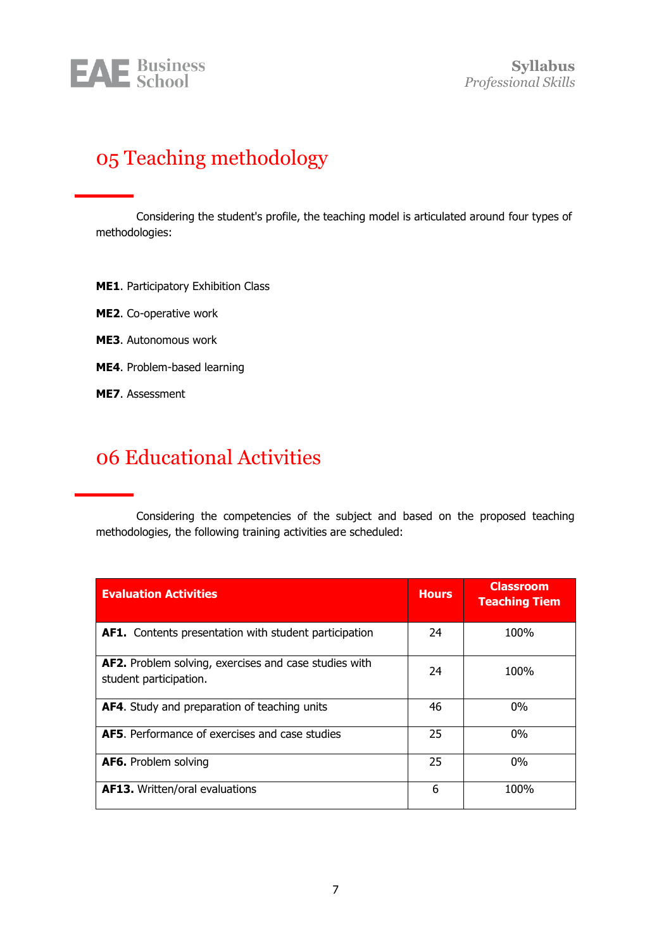

# <span id="page-6-0"></span>05 Teaching methodology

Considering the student's profile, the teaching model is articulated around four types of methodologies:

- **ME1**. Participatory Exhibition Class
- **ME2**. Co-operative work
- **ME3**. Autonomous work
- **ME4**. Problem-based learning
- **ME7**. Assessment

# <span id="page-6-1"></span>06 Educational Activities

Considering the competencies of the subject and based on the proposed teaching methodologies, the following training activities are scheduled:

| <b>Evaluation Activities</b>                                                    | <b>Hours</b> | <b>Classroom</b><br><b>Teaching Tiem</b> |
|---------------------------------------------------------------------------------|--------------|------------------------------------------|
| AF1. Contents presentation with student participation                           | 24           | 100%                                     |
| AF2. Problem solving, exercises and case studies with<br>student participation. | 24           | 100%                                     |
| <b>AF4.</b> Study and preparation of teaching units                             | 46           | $0\%$                                    |
| <b>AF5.</b> Performance of exercises and case studies                           | 25           | $0\%$                                    |
| <b>AF6.</b> Problem solving                                                     | 25           | $0\%$                                    |
| <b>AF13.</b> Written/oral evaluations                                           | 6            | 100%                                     |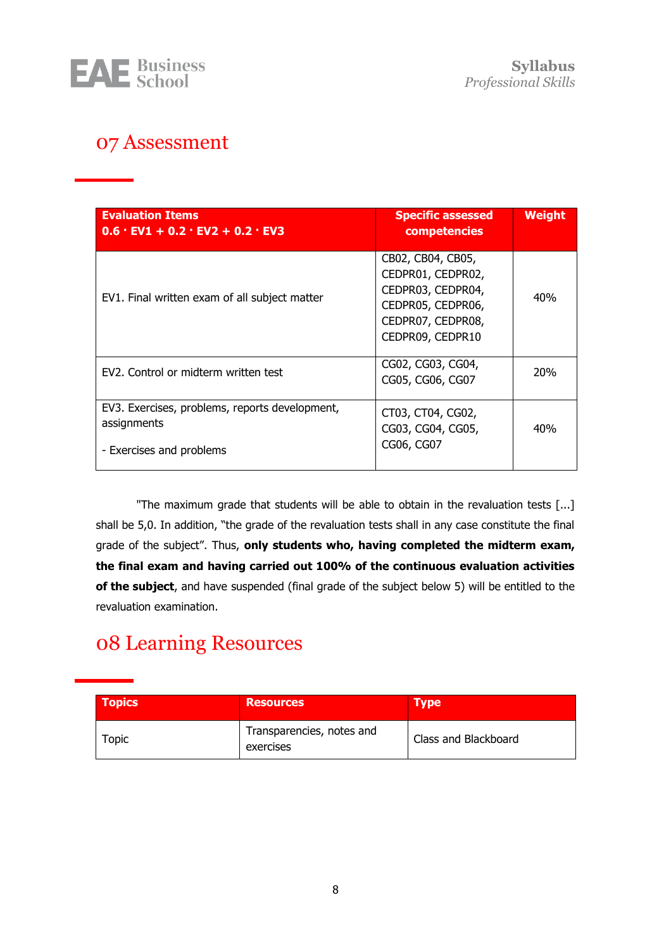

# <span id="page-7-0"></span>07 Assessment

| <b>Evaluation Items</b><br>$0.6 \cdot$ EV1 + 0.2 $\cdot$ EV2 + 0.2 $\cdot$ EV3            | <b>Specific assessed</b><br>competencies                                                                                  | Weight     |
|-------------------------------------------------------------------------------------------|---------------------------------------------------------------------------------------------------------------------------|------------|
| EV1. Final written exam of all subject matter                                             | CB02, CB04, CB05,<br>CEDPR01, CEDPR02,<br>CEDPR03, CEDPR04,<br>CEDPR05, CEDPR06,<br>CEDPR07, CEDPR08,<br>CEDPR09, CEDPR10 | 40%        |
| EV2. Control or midterm written test                                                      | CG02, CG03, CG04,<br>CG05, CG06, CG07                                                                                     | <b>20%</b> |
| EV3. Exercises, problems, reports development,<br>assignments<br>- Exercises and problems | CT03, CT04, CG02,<br>CG03, CG04, CG05,<br>CG06, CG07                                                                      | 40%        |

"The maximum grade that students will be able to obtain in the revaluation tests [...] shall be 5,0. In addition, "the grade of the revaluation tests shall in any case constitute the final grade of the subject". Thus, **only students who, having completed the midterm exam, the final exam and having carried out 100% of the continuous evaluation activities of the subject**, and have suspended (final grade of the subject below 5) will be entitled to the revaluation examination.

# <span id="page-7-1"></span>08 Learning Resources

| <b>Topics</b> | <b>Resources</b>                       | <b>Type</b>          |
|---------------|----------------------------------------|----------------------|
| Topic         | Transparencies, notes and<br>exercises | Class and Blackboard |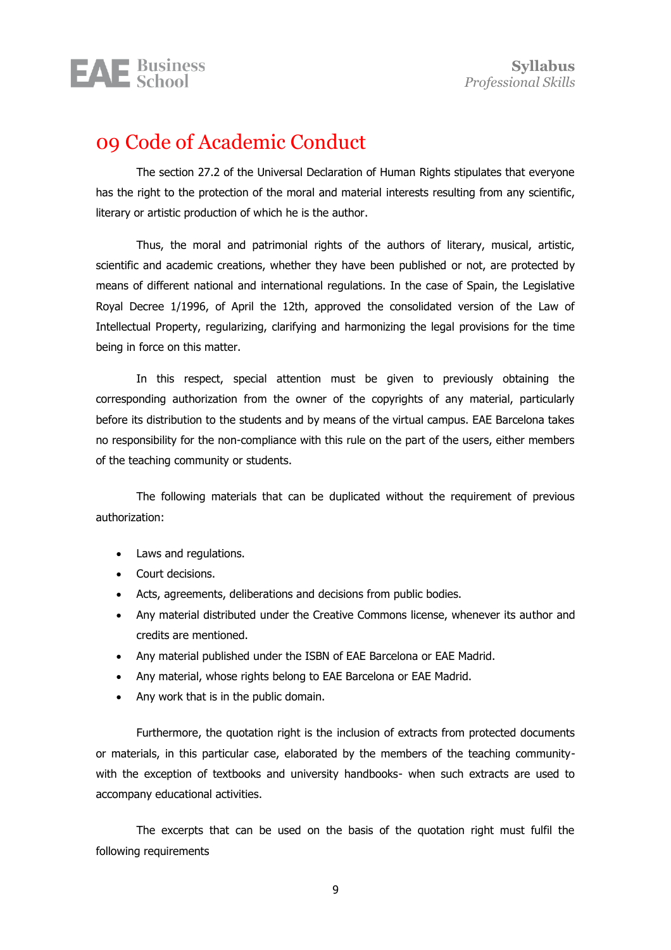

## <span id="page-8-0"></span>09 Code of Academic Conduct

The section 27.2 of the Universal Declaration of Human Rights stipulates that everyone has the right to the protection of the moral and material interests resulting from any scientific, literary or artistic production of which he is the author.

Thus, the moral and patrimonial rights of the authors of literary, musical, artistic, scientific and academic creations, whether they have been published or not, are protected by means of different national and international regulations. In the case of Spain, the Legislative Royal Decree 1/1996, of April the 12th, approved the consolidated version of the Law of Intellectual Property, regularizing, clarifying and harmonizing the legal provisions for the time being in force on this matter.

In this respect, special attention must be given to previously obtaining the corresponding authorization from the owner of the copyrights of any material, particularly before its distribution to the students and by means of the virtual campus. EAE Barcelona takes no responsibility for the non-compliance with this rule on the part of the users, either members of the teaching community or students.

The following materials that can be duplicated without the requirement of previous authorization:

- Laws and regulations.
- Court decisions.
- Acts, agreements, deliberations and decisions from public bodies.
- Any material distributed under the Creative Commons license, whenever its author and credits are mentioned.
- Any material published under the ISBN of EAE Barcelona or EAE Madrid.
- Any material, whose rights belong to EAE Barcelona or EAE Madrid.
- Any work that is in the public domain.

Furthermore, the quotation right is the inclusion of extracts from protected documents or materials, in this particular case, elaborated by the members of the teaching communitywith the exception of textbooks and university handbooks- when such extracts are used to accompany educational activities.

The excerpts that can be used on the basis of the quotation right must fulfil the following requirements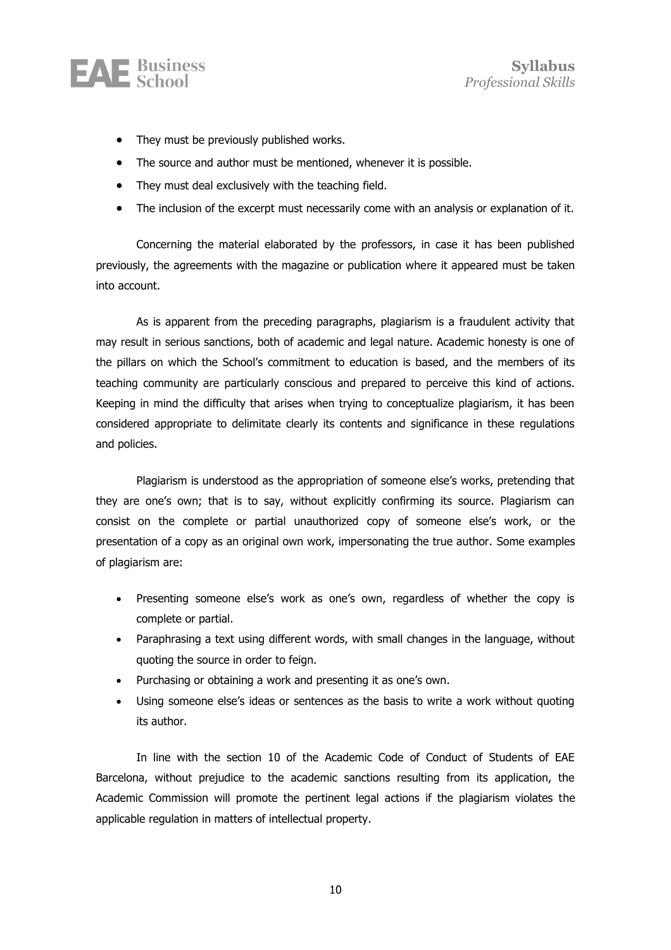

- They must be previously published works.
- The source and author must be mentioned, whenever it is possible.
- They must deal exclusively with the teaching field.
- The inclusion of the excerpt must necessarily come with an analysis or explanation of it.

Concerning the material elaborated by the professors, in case it has been published previously, the agreements with the magazine or publication where it appeared must be taken into account.

As is apparent from the preceding paragraphs, plagiarism is a fraudulent activity that may result in serious sanctions, both of academic and legal nature. Academic honesty is one of the pillars on which the School's commitment to education is based, and the members of its teaching community are particularly conscious and prepared to perceive this kind of actions. Keeping in mind the difficulty that arises when trying to conceptualize plagiarism, it has been considered appropriate to delimitate clearly its contents and significance in these regulations and policies.

Plagiarism is understood as the appropriation of someone else's works, pretending that they are one's own; that is to say, without explicitly confirming its source. Plagiarism can consist on the complete or partial unauthorized copy of someone else's work, or the presentation of a copy as an original own work, impersonating the true author. Some examples of plagiarism are:

- Presenting someone else's work as one's own, regardless of whether the copy is complete or partial.
- Paraphrasing a text using different words, with small changes in the language, without quoting the source in order to feign.
- Purchasing or obtaining a work and presenting it as one's own.
- Using someone else's ideas or sentences as the basis to write a work without quoting its author.

In line with the section 10 of the Academic Code of Conduct of Students of EAE Barcelona, without prejudice to the academic sanctions resulting from its application, the Academic Commission will promote the pertinent legal actions if the plagiarism violates the applicable regulation in matters of intellectual property.